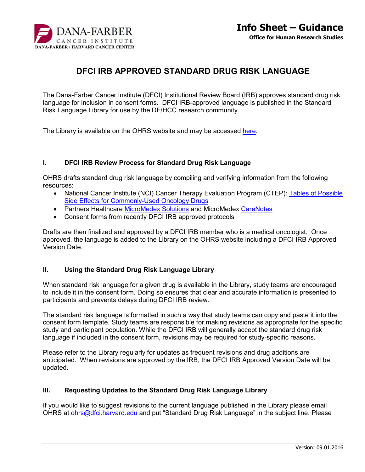

# **DFCI IRB APPROVED STANDARD DRUG RISK LANGUAGE**

The Dana-Farber Cancer Institute (DFCI) Institutional Review Board (IRB) approves standard drug risk language for inclusion in consent forms. DFCI IRB-approved language is published in the Standard Risk Language Library for use by the DF/HCC research community.

The Library is available on the OHRS website and may be accessed [here](http://www.dfhcc.harvard.edu/index.php?id=661).

#### **I. DFCI IRB Review Process for Standard Drug Risk Language**

OHRS drafts standard drug risk language by compiling and verifying information from the following resources:

- National Cancer Institute (NCI) Cancer Therapy Evaluation Program (CTEP): [Tables of Possible](https://ctep.cancer.gov/protocolDevelopment/sideeffects/drugs.htm) [Side Effects for Commonly-Used Oncology Drugs](https://ctep.cancer.gov/protocolDevelopment/sideeffects/drugs.htm)
- Partners Healthcare [MicroMedex Solutions](https://www.micromedexsolutions.com/micromedex2/librarian/CS/68F607/PFActionId/pf.HomePage/ssl/true) and MicroMedex [CareNotes](https://www.micromedexsolutions.com/carenotes/librarian?navitem=topCareNotes)
- Consent forms from recently DFCI IRB approved protocols

Drafts are then finalized and approved by a DFCI IRB member who is a medical oncologist. Once approved, the language is added to the Library on the OHRS website including a DFCI IRB Approved Version Date.

#### **II. Using the Standard Drug Risk Language Library**

When standard risk language for a given drug is available in the Library, study teams are encouraged to include it in the consent form. Doing so ensures that clear and accurate information is presented to participants and prevents delays during DFCI IRB review.

The standard risk language is formatted in such a way that study teams can copy and paste it into the consent form template. Study teams are responsible for making revisions as appropriate for the specific study and participant population. While the DFCI IRB will generally accept the standard drug risk language if included in the consent form, revisions may be required for study-specific reasons.

Please refer to the Library regularly for updates as frequent revisions and drug additions are anticipated. When revisions are approved by the IRB, the DFCI IRB Approved Version Date will be updated.

### **III. Requesting Updates to the Standard Drug Risk Language Library**

If you would like to suggest revisions to the current language published in the Library please email OHRS at [ohrs@dfci.harvard.edu](mailto:ohrs@dfci.harvard.edu) and put "Standard Drug Risk Language" in the subject line. Please